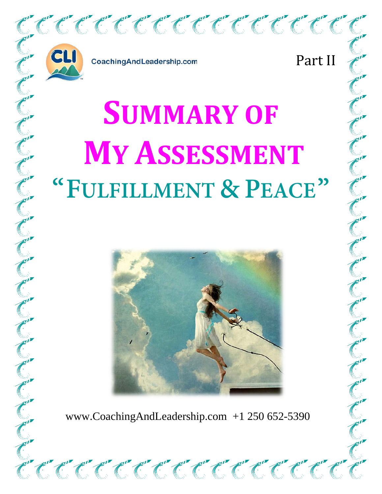

CoachingAndLeadership.com

Part II

# **SUMMARY OF MY ASSESSMENT "FULFILLMENT & PEACE"**



www.CoachingAndLeadership.com +1 250 652-5390

<u>ان المال المالي المستقيمة المستقيمة المستقيمة المستقيمة المستقيمة المستقيمة المستقيمة المستقيمة المستقيمة المستق</u>